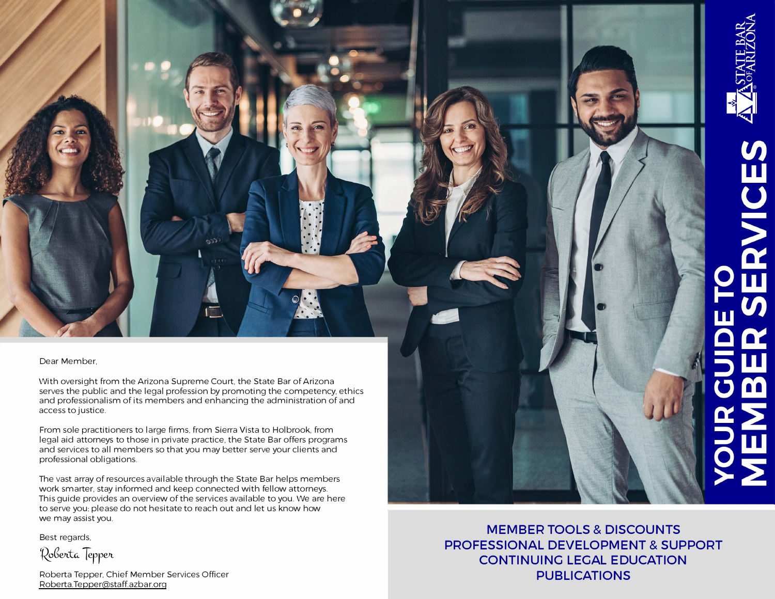Dear Member,

With oversight from the Arizona Supreme Court, the State Bar of Arizona serves the public and the legal profession by promoting the competency, ethics and professionalism of its members and enhancing the administration of and access to justice.

From sole practitioners to large firms, from Sierra Vista to Holbrook, from legal aid attorneys to those in private practice, the State Bar offers programs and services to all members so that you may better serve your clients and professional obligations.

The vast array of resources available through the State Bar helps members work smarter, stay informed and keep connected with fellow attorneys. This guide provides an overview of the services available to you. We are here to serve you: please do not hesitate to reach out and let us know how we may assist you.

Best regards,

*�Gelt,-tC.,* **TerrVL** 

Roberta Tepper, Chief Member Services Officer Roberta.Tepper@staff.azbar.org

**MEMBER TOOLS & DISCOUNTS PROFESSIONAL DEVELOPMENT & SUPPORT CONTINUING LEGAL EDUCATION PUBLICATIONS**